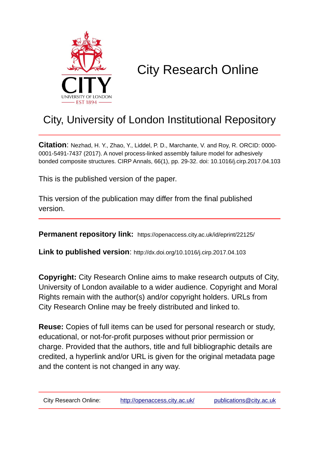

# City Research Online

## City, University of London Institutional Repository

**Citation**: Nezhad, H. Y., Zhao, Y., Liddel, P. D., Marchante, V. and Roy, R. ORCID: 0000- 0001-5491-7437 (2017). A novel process-linked assembly failure model for adhesively bonded composite structures. CIRP Annals, 66(1), pp. 29-32. doi: 10.1016/j.cirp.2017.04.103

This is the published version of the paper.

This version of the publication may differ from the final published version.

**Permanent repository link:** https://openaccess.city.ac.uk/id/eprint/22125/

**Link to published version**: http://dx.doi.org/10.1016/j.cirp.2017.04.103

**Copyright:** City Research Online aims to make research outputs of City, University of London available to a wider audience. Copyright and Moral Rights remain with the author(s) and/or copyright holders. URLs from City Research Online may be freely distributed and linked to.

**Reuse:** Copies of full items can be used for personal research or study, educational, or not-for-profit purposes without prior permission or charge. Provided that the authors, title and full bibliographic details are credited, a hyperlink and/or URL is given for the original metadata page and the content is not changed in any way.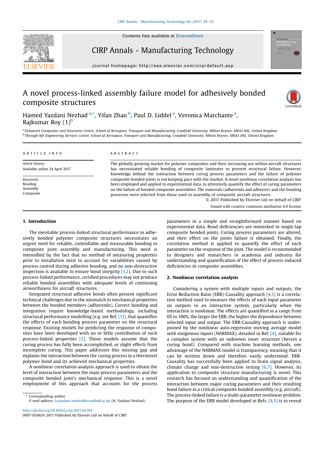Contents lists available at [ScienceDirect](http://www.sciencedirect.com/science/journal/00078506)



### CIRP Annals - Manufacturing Technology

journal homepage: http://ees.elsevier.com/cirp/default.asp

## A novel process-linked assembly failure model for adhesively bonded composite structures



Hamed Yazdani Nezhad <sup>a,\*</sup>, Yifan Zhao <sup>b</sup>, Paul D. Liddel <sup>a</sup>, Veronica Marchante <sup>a</sup>, Rajkumar Roy  $(1)^b$ 

a Enhanced Composites and Structures Centre, School of Aerospace, Transport and Manufacturing, Cranfield University, Milton Keynes, MK43 0AL, United Kingdom <sup>b</sup> Through-life Engineering Services Centre, School of Aerospace, Transport and Manufacturing, Cranfield University, Milton Keynes, MK43 0AL, United Kingdom

#### A R T I C L E I N F O

Article history: Available online 24 April 2017

Keywords: Bonding Assembly Composite

#### A B S T R A C T

The globally growing market for polymer composites and their increasing use within aircraft structures has necessitated reliable bonding of composite laminates to prevent structural failure. However, knowledge behind the interaction between curing process parameters and the failure of polymer composite bonded joints is not keeping pace with the market. A novel nonlinear correlation analysis has been employed and applied to experimental data, to attentively quantify the effect of curing parameters on the failure of bonded composite assemblies. The materials (adherends and adhesive) and the bonding processes were selected from those used in assembly of composite aircraft structures.

> © 2017 Published by Elsevier Ltd on behalf of CIRP. Issued with creative commons attribution 4.0 license

#### 1. Introduction

The inevitable process-linked structural performance in adhesively bonded polymer composite structures necessitates an urgent need for reliable, controllable and measurable bonding in composite joint assembly and manufacturing. This need is intensified by the fact that no method of measuring properties prior to installation exist to account for variabilities caused by process control during adhesive bonding, and no non-destructive inspection is available to ensure bond integrity  $[1,2]$ . Due to such process-linked performance, certified procedures may not produce reliable bonded assemblies with adequate levels of continuing airworthiness for aircraft structures.

Integrated structural adhesive bonds often present significant technical challenges due to the mismatch in mechanical properties between the bonded members (adherends). Correct bonding and integration require knowledge-based methodology, including structural performance modelling (e.g. see Ref. [\[3\]\)](#page-4-0), that quantifies the effects of each bonding process parameter on the structural response. Existing models for predicting the response of composites have been developed with no or little contribution of such process-linked properties [\[3\].](#page-4-0) Those models assume that the curing process has fully been accomplished, or slight effects from incomplete curing. This paper addresses this missing gap and explains the interaction between the curing process in a thermoset polymer bond and its achieved mechanical properties.

A nonlinear correlation analysis approach is used to obtain the level of interaction between the main process parameters and the composite bonded joint's mechanical response. This is a novel employment of this approach that accounts for the process

Corresponding author. E-mail address: [h.yazdani-nezhad@cran](mailto:h.yazdani-nezhad@cranfield.ac.uk)field.ac.uk (H. Yazdani Nezhad).

<http://dx.doi.org/10.1016/j.cirp.2017.04.103> 0007-8506/© 2017 Published by Elsevier Ltd on behalf of CIRP. parameters in a simple and straightforward manner based on experimental data. Bond deficiencies are mimicked in single-lap composite bonded joints. Curing process parameters are altered, and their effect on the joints failure is obtained. Finally, the correlation method is applied to quantify the effect of each parameter on the response of the joint. The model is recommended to designers and researchers in academia and industry for understanding and quantification of the effect of process-induced deficiencies in composite assemblies.

#### 2. Nonlinear correlation analysis

Considering a system with multiple inputs and outputs, the Error Reduction Ratio (ERR)-Causality approach [\[4,5\]](#page-4-0) is a correlation method used to measure the effects of each input parameter on outputs in an interactive system, particularly when the interaction is nonlinear. The effects are quantified in a range from 0% to 100%, the larger the ERR, the higher the dependence between selected input and output. The ERR-Causality approach is underpinned by the nonlinear auto-regressive moving average model with exogenous inputs (NARMAX), detailed in Ref. [\[4\]](#page-4-0), suitable for a complex system with an unknown inner structure (herein a curing bond). Compared with machine learning methods, one advantage of the NARMAX model is transparency, meaning that it can be written down and therefore easily understood. ERR-Causality has successfully been applied to brain signal analysis, climate change and non-destructive testing  $[6,7]$ . However, its application to composite structure manufacturing is novel. This research has focused on understanding and quantification of the interaction between major curing parameters and their resulting bond failure in a critical composite bonded assembly (e.g. aircraft). The process-linked failure is a multi-parameter nonlinear problem. The purpose of the ERR model developed in Refs. [\[4,5\]](#page-4-0) is to reveal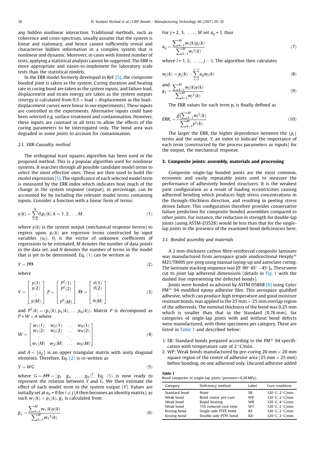any hidden nonlinear interaction. Traditional methods, such as coherence and cross-spectrum, usually assume that the system is linear and stationary, and hence cannot sufficiently reveal and characterise hidden information in a complex system that is nonlinear and dynamic. Moreover, in cases with limited number of tests, applying a statistical analysis cannot be suggested. The ERR is more appropriate and easier-to-implement for laboratory scale tests than the statistical models.

In the ERR model formerly developed in Ref. [\[5\],](#page-4-0) the composite bonded joint is taken as the system. Curing duration and heating rate in curing bond are taken as the system inputs, and failure load, displacement and strain energy are taken as the system outputs (energy is calculated from 0.5  $\times$  load  $\times$  displacement as the load– displacement curves were linear in our experiments). These inputs are controlled in the experiments. Alternative inputs could have been selected e.g. surface treatment and contamination. However, these inputs are constant in all tests to allow the effects of the curing parameters to be interrogated only. The bond area was degraded in some joints to account for contamination.

#### 2.1. ERR-Causality method

The orthogonal least squares algorithm has been used in the proposed method. This is a popular algorithm used for nonlinear systems. It searches through all possible candidate model terms to select the most effective ones. These are then used to build the model expression [\[5\]](#page-4-0). The significance of each selected model term is measured by the ERR index which indicates how much of the change in the system response (output), in percentage, can be accounted for by including the relevant model terms containing inputs. Consider a function with a linear form of terms:

$$
y(k) = \sum_{i=0}^{N} \theta_i p_i(k), k = 1, 2, ..., M
$$
 (1)

where  $y(k)$  is the system output (mechanical response herein) to regress upon.  $p_i(k)$  are regressor terms constructed by input variables  $\{u_i\}$ .  $\theta_i$  is the vector of unknown coefficients of regressions to be estimated, M denotes the number of data points in the data set, and N denotes the number of terms in the model that is yet to be determined. Eq.  $(1)$  can be written as

$$
Y = P\Theta \tag{2}
$$

where

$$
Y = \begin{bmatrix} y(1) \\ y(2) \\ \vdots \\ y(M) \end{bmatrix}, P = \begin{bmatrix} P^{T}(1) \\ P^{T}(2) \\ \vdots \\ P^{T}(M) \end{bmatrix}, \Theta = \begin{bmatrix} \theta(1) \\ \theta(2) \\ \vdots \\ \theta(M) \end{bmatrix}
$$
(3)

and  $P^{T}(k) = (p_1(k), p_2(k), \ldots, p_N(k))$ . Matrix P is decomposed as  $P = W \times A$  where

$$
W = \begin{bmatrix} w_1(1) & w_2(1) & \dots & w_N(1) \\ w_1(2) & w_2(2) & \dots & w_N(2) \\ \vdots & \vdots & \ddots & \vdots \\ w_1(M) & w_2(M) & \dots & w_N(M) \end{bmatrix},
$$
 (4)

and  $A = \{a_{ij}\}\$ is an upper triangular matrix with unity diagonal<br>elements Therefore Eq. (2) is re-written 25 elements. Therefore, Eq. (2) is re-written as

$$
Y = WG \tag{5}
$$

where  $G = A\Theta = [g_1 \ g_2 \ \dots \ g_N]^T$ . Eq. (5) is now ready to represent the relation between V and C. We then estimate the represent the relation between Y and G. We then estimate the effect of each model term to the system output (Y). Values are initially set at  $a_{ij}$  = 0 for  $i \neq j$  (A then becomes an identity matrix), as such  $w_1(k) = p_1(k)$ .  $g_1$  is calculated from

$$
g_1 = \frac{\sum_{k=1}^{M} w_1(k) y(k)}{\sum_{k=1}^{M} w_1^2(k)}
$$
(6)

For 
$$
j = 2, 3, \ldots, M
$$
 set  $a_{jj} = 1$ , thus

$$
a_{ij} = \frac{\sum_{k=1}^{M} w_i(k) p_j(k)}{\sum_{k=1}^{M} w_i^2(k)}
$$
(7)

where  $i = 1, 2, \ldots, j - 1$ . The algorithm then calculates

$$
w_j(k) = p_j(k) - \sum_{i=1}^{j-1} a_{ij} w_i(k)
$$
\n(8)

and  
\n
$$
g_1 = \frac{\sum_{k=1}^{M} w_j(k) y(k)}{\sum_{k=1}^{M} w_j^2(k)}
$$
\n(9)

The ERR values for each term  $p_i$  is finally defined as

$$
ERR_i = \frac{g_1^2 \sum_{k=1}^{M} w_i^2(k)}{\sum_{k=1}^{M} y^2(k)}
$$
(10)

The larger the ERR, the higher dependence between the  $\{p_i\}$ terms and the output, Y, an index to indicate the importance of each term (constructed by the process parameters as inputs) for the output, the mechanical response.

#### 3. Composite joints: assembly, materials and processing

Composite single-lap bonded joints are the most common, economic and easily repeatable joints used to measure the performance of adhesively bonded structures. It is the weakest joint configuration as a result of loading eccentricities causing adherend bending which produces high stress concentrations in the through–thickness direction, and resulting in peeling stress driven failure. This configuration therefore provides conservative failure prediction for composite bonded assemblies compared to other joints. For instance, the reduction in strength for double-lap joints (using ASTM-D3528) would be less than that for the singlelap joints in the presence of the examined bond deficiencies here.

#### 3.1. Bonded assembly and materials

Table 1

A 2 mm-thickness carbon fibre-reinforced composite laminate was manufactured from aerospace grade unidirectional Hexply<sup>®</sup> M21/T800S pre-preg using manual laying-up and autoclave curing. The laminate stacking sequence was  $[0^{\circ} 90^{\circ} 45^{\circ} - 45^{\circ}]$ s. These were cut to joint lap adherend dimensions (details in [Fig.](#page-3-0) 1 with the dashed line representing the defected bonds).

Joints were bonded as advised by ASTM D5868 [\[8\]](#page-4-0) using Cytec  $FM^{\circledR}$  94 modified epoxy adhesive film. This aerospace qualified adhesive, which can produce high temperature and good moisture resistant bonds, was applied to the 25 mm  $\times$  25 mm overlap region of the adherends. The nominal thickness of the bond was 0.25 mm which is smaller than that in the Standard (0.76 mm). Six categories of single-lap joints with and without bond defects were manufactured, with three specimens per category. These are listed in Table 1 and described below:

- 1. SB: Standard bonds prepared according to the  $FM^{\circledR}$  94 specification with temperature rate of  $2^{\circ}$ C/min.
- 2. WP: Weak bonds manufactured by pre-curing 20 mm  $\times$  20 mm square region of the centre of adhesive area (25 mm  $\times$  25 mm) before bonding, on one adherend only. Uncured adhesive added

| таріе т<br>Bond categories in single-lap joints (pressure=0.28 MPa). |                                                                 |                              |                                                                            |  |  |  |
|----------------------------------------------------------------------|-----------------------------------------------------------------|------------------------------|----------------------------------------------------------------------------|--|--|--|
| Category                                                             | Deficiency method                                               | Label                        | Cure condition                                                             |  |  |  |
| Standard bond<br>Weak bond<br>Weak bond                              | None<br>Bond centre pre-cure                                    | SB<br><b>WP</b><br><b>WR</b> | 120 $\degree$ C, 2 $\degree$ C/min<br>120 °C, 2 °C/min<br>120 °C, 4 °C/min |  |  |  |
| Weak bond<br>Kissing bond                                            | Rapid heating<br>75% reduced cure time<br>Single-side PTFE bond | <b>WT</b><br>KS              | 120 °C, 2 °C/min<br>120 °C, 2 °C/min                                       |  |  |  |
| Kissing bond                                                         | Double-side PTFE bond                                           | KD                           | 120 °C, 2 °C/min                                                           |  |  |  |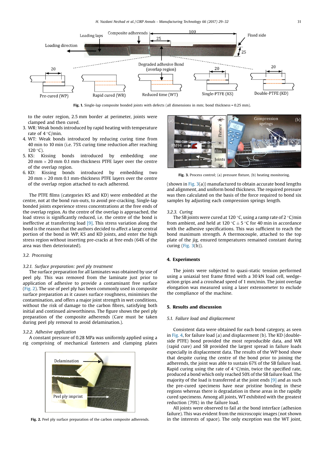<span id="page-3-0"></span>

Fig. 1. Single-lap composite bonded joints with defects (all dimensions in mm; bond thickness = 0.25 mm).

to the outer region, 2.5 mm border at perimeter, joints were clamped and then cured.

- 3. WR: Weak bonds introduced by rapid heating with temperature rate of  $4^{\circ}$ C/min.
- 4. WT: Weak bonds introduced by reducing curing time from 40 min to 10 min (i.e. 75% curing time reduction after reaching 120 °C).<br>5. KS: K
- Kissing bonds introduced by embedding one 20 mm  $\times$  20 mm 0.1 mm-thickness PTFE layer over the centre of the overlap region.
- 6. KD: Kissing bonds introduced by embedding two 20 mm  $\times$  20 mm 0.1 mm-thickness PTFE layers over the centre of the overlap region attached to each adherend.

The PTFE films (categories KS and KD) were embedded at the centre, not at the bond run-outs, to avoid pre-cracking. Single-lap bonded joints experience stress concentrations at the free ends of the overlap region. As the centre of the overlap is approached, the load stress is significantly reduced, i.e. the centre of the bond is ineffective at transferring load  $[9]$ . This stress variation along the bond is the reason that the authors decided to affect a large central portion of the bond in WP, KS and KD joints, and enter the high stress region without inserting pre-cracks at free ends (64% of the area was then deteriorated).

#### 3.2. Processing

#### 3.2.1. Surface preparation: peel ply treatment

The surface preparation for all laminates was obtained by use of peel ply. This was removed from the laminate just prior to application of adhesive to provide a contaminant free surface (Fig. 2). The use of peel ply has been commonly used in composite surface preparation as it causes surface roughness, minimises the contamination, and offers a major joint strength in wet conditions, without the risk of damage to the carbon fibres, satisfying both initial and continued airworthiness. The figure shows the peel ply preparation of the composite adherends (Care must be taken during peel ply removal to avoid delamination.).

#### 3.2.2. Adhesive application

A constant pressure of 0.28 MPa was uniformly applied using a rig comprising of mechanical fasteners and clamping plates





Fig. 3. Process control; (a) pressure fixture, (b) heating monitoring.

(shown in Fig. 3(a)) manufactured to obtain accurate bond lengths and alignment, and uniform bond thickness. The required pressure was then calculated on the basis of the force required to bond six samples by adjusting each compression springs length.

#### 3.2.3. Curing

The SB joints were cured at 120 °C, using a ramp rate of 2 °C/min from ambient, and held at 120 °C  $\pm$  5 °C for 40 min in accordance with the adhesive specifications. This was sufficient to reach the bond maximum strength. A thermocouple, attached to the top plate of the jig, ensured temperatures remained constant during curing (Fig.  $3(b)$ ).

#### 4. Experiments

The joints were subjected to quasi-static tension performed using a uniaxial test frame fitted with a 30 kN load cell, wedgeaction grips and a crosshead speed of 1 mm/min. The joint overlap elongation was measured using a laser extensometer to exclude the compliance of the machine.

#### 5. Results and discussion

#### 5.1. Failure load and displacement

Consistent data were obtained for each bond category, as seen in [Fig.](#page-4-0) 4, for failure load (a) and displacement (b). The KD (doubleside PTFE) bond provided the most reproducible data, and WR (rapid cure) and SB provided the largest spread in failure loads especially in displacement data. The results of the WP bond show that despite curing the centre of the bond prior to joining the adherends, the joint was able to sustain 67% of the SB failure load. Rapid curing using the rate of  $4^{\circ}$ C/min, twice the specified rate, produced a bond which only reached 50% of the SB failure load. The majority of the load is transferred at the joint ends [\[9\]](#page-4-0) and as such the pre-cured specimens have near pristine bonding in these regions whereas there is degradation in these areas in the rapidly cured specimens. Among all joints, WT exhibited with the greatest reduction (79%) in the failure load.

All joints were observed to fail at the bond interface (adhesion failure). This was evident from the microscopic images (not shown Fig. 2. Peel ply surface preparation of the carbon composite adherends. in the interests of space). The only exception was the WT joint,